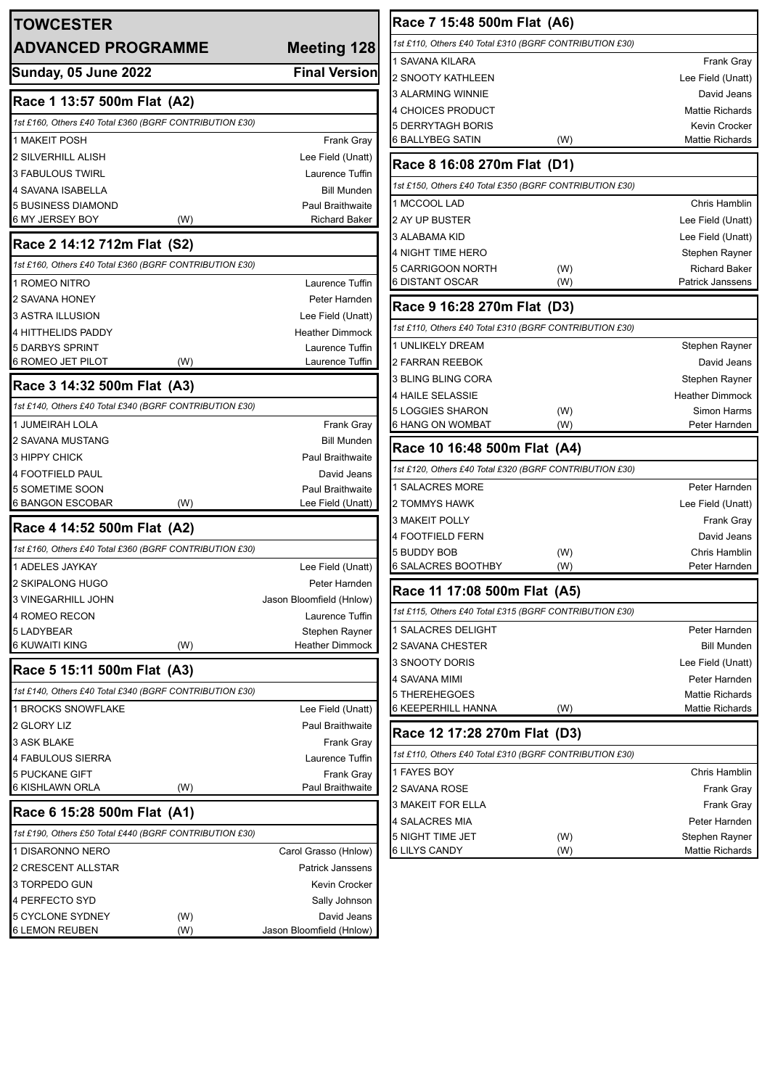| <b>TOWCESTER</b>                                        |     |                                           | Race 7 15:48 500m Flat (A6)                             |            |                                     |
|---------------------------------------------------------|-----|-------------------------------------------|---------------------------------------------------------|------------|-------------------------------------|
|                                                         |     |                                           | 1st £110, Others £40 Total £310 (BGRF CONTRIBUTION £30) |            |                                     |
| <b>ADVANCED PROGRAMME</b>                               |     | <b>Meeting 128</b>                        | 1 SAVANA KILARA                                         |            | <b>Frank Gray</b>                   |
| Sunday, 05 June 2022                                    |     | <b>Final Version</b>                      | 2 SNOOTY KATHLEEN                                       |            | Lee Field (Unatt)                   |
|                                                         |     |                                           | 3 ALARMING WINNIE                                       |            | David Jeans                         |
| Race 1 13:57 500m Flat (A2)                             |     |                                           | 4 CHOICES PRODUCT                                       |            | <b>Mattie Richards</b>              |
| 1st £160, Others £40 Total £360 (BGRF CONTRIBUTION £30) |     |                                           | <b>5 DERRYTAGH BORIS</b>                                |            | <b>Kevin Crocker</b>                |
| 1 MAKEIT POSH                                           |     | Frank Gray                                | <b>6 BALLYBEG SATIN</b>                                 | (W)        | <b>Mattie Richards</b>              |
| <b>2 SILVERHILL ALISH</b>                               |     | Lee Field (Unatt)                         | Race 8 16:08 270m Flat (D1)                             |            |                                     |
| 3 FABULOUS TWIRL                                        |     | Laurence Tuffin                           | 1st £150, Others £40 Total £350 (BGRF CONTRIBUTION £30) |            |                                     |
| 4 SAVANA ISABELLA                                       |     | <b>Bill Munden</b>                        |                                                         |            | <b>Chris Hamblin</b>                |
| <b>5 BUSINESS DIAMOND</b><br>6 MY JERSEY BOY            | (W) | Paul Braithwaite<br><b>Richard Baker</b>  | 1 MCCOOL LAD<br>2 AY UP BUSTER                          |            | Lee Field (Unatt)                   |
|                                                         |     |                                           | 3 ALABAMA KID                                           |            | Lee Field (Unatt)                   |
| Race 2 14:12 712m Flat (S2)                             |     |                                           | 4 NIGHT TIME HERO                                       |            | Stephen Rayner                      |
| 1st £160, Others £40 Total £360 (BGRF CONTRIBUTION £30) |     |                                           | 5 CARRIGOON NORTH                                       | (W)        | <b>Richard Baker</b>                |
| 1 ROMEO NITRO                                           |     | Laurence Tuffin                           | <b>6 DISTANT OSCAR</b>                                  | (W)        | Patrick Janssens                    |
| 2 SAVANA HONEY                                          |     | Peter Harnden                             |                                                         |            |                                     |
| 3 ASTRA ILLUSION                                        |     | Lee Field (Unatt)                         | Race 9 16:28 270m Flat (D3)                             |            |                                     |
| 4 HITTHELIDS PADDY                                      |     | <b>Heather Dimmock</b>                    | 1st £110, Others £40 Total £310 (BGRF CONTRIBUTION £30) |            |                                     |
| <b>5 DARBYS SPRINT</b>                                  |     | Laurence Tuffin                           | 1 UNLIKELY DREAM                                        |            | Stephen Rayner                      |
| <b>6 ROMEO JET PILOT</b>                                | (W) | Laurence Tuffin                           | <b>2 FARRAN REEBOK</b>                                  |            | David Jeans                         |
| Race 3 14:32 500m Flat (A3)                             |     |                                           | 3 BLING BLING CORA                                      |            | Stephen Rayner                      |
| 1st £140, Others £40 Total £340 (BGRF CONTRIBUTION £30) |     |                                           | <b>4 HAILE SELASSIE</b>                                 |            | <b>Heather Dimmock</b>              |
| 1 JUMEIRAH LOLA                                         |     | <b>Frank Gray</b>                         | <b>5 LOGGIES SHARON</b><br><b>6 HANG ON WOMBAT</b>      | (W)<br>(W) | <b>Simon Harms</b><br>Peter Harnden |
| 2 SAVANA MUSTANG                                        |     | <b>Bill Munden</b>                        |                                                         |            |                                     |
| 3 HIPPY CHICK                                           |     | Paul Braithwaite                          | Race 10 16:48 500m Flat (A4)                            |            |                                     |
| 4 FOOTFIELD PAUL                                        |     | David Jeans                               | 1st £120, Others £40 Total £320 (BGRF CONTRIBUTION £30) |            |                                     |
| 5 SOMETIME SOON                                         |     | Paul Braithwaite                          | 1 SALACRES MORE                                         |            | Peter Harnden                       |
| 6 BANGON ESCOBAR                                        | (W) | Lee Field (Unatt)                         | 2 TOMMYS HAWK                                           |            | Lee Field (Unatt)                   |
| Race 4 14:52 500m Flat (A2)                             |     |                                           | <b>3 MAKEIT POLLY</b>                                   |            | <b>Frank Gray</b>                   |
|                                                         |     |                                           | <b>4 FOOTFIELD FERN</b>                                 |            | David Jeans                         |
| 1st £160, Others £40 Total £360 (BGRF CONTRIBUTION £30) |     |                                           | <b>5 BUDDY BOB</b>                                      | (W)        | Chris Hamblin                       |
| 1 ADELES JAYKAY                                         |     | Lee Field (Unatt)                         | 6 SALACRES BOOTHBY                                      | (W)        | Peter Harnden                       |
| 2 SKIPALONG HUGO<br>3 VINEGARHILL JOHN                  |     | Peter Harnden<br>Jason Bloomfield (Hnlow) | Race 11 17:08 500m Flat (A5)                            |            |                                     |
| 4 ROMEO RECON                                           |     | Laurence Tuffin                           | 1st £115, Others £40 Total £315 (BGRF CONTRIBUTION £30) |            |                                     |
| 5 LADYBEAR                                              |     | Stephen Rayner                            | 1 SALACRES DELIGHT                                      |            | Peter Harnden                       |
| <b>6 KUWAITI KING</b>                                   | (W) | <b>Heather Dimmock</b>                    | 2 SAVANA CHESTER                                        |            | <b>Bill Munden</b>                  |
|                                                         |     |                                           | 3 SNOOTY DORIS                                          |            | Lee Field (Unatt)                   |
| Race 5 15:11 500m Flat (A3)                             |     |                                           | 4 SAVANA MIMI                                           |            | Peter Harnden                       |
| 1st £140, Others £40 Total £340 (BGRF CONTRIBUTION £30) |     |                                           | 5 THEREHEGOES                                           |            | <b>Mattie Richards</b>              |
| 1 BROCKS SNOWFLAKE                                      |     | Lee Field (Unatt)                         | <b>6 KEEPERHILL HANNA</b>                               | (W)        | <b>Mattie Richards</b>              |
| 2 GLORY LIZ                                             |     | Paul Braithwaite                          | Race 12 17:28 270m Flat (D3)                            |            |                                     |
| 3 ASK BLAKE                                             |     | <b>Frank Gray</b>                         | 1st £110, Others £40 Total £310 (BGRF CONTRIBUTION £30) |            |                                     |
| 4 FABULOUS SIERRA                                       |     | Laurence Tuffin                           |                                                         |            |                                     |
| <b>5 PUCKANE GIFT</b><br>6 KISHLAWN ORLA                | (W) | <b>Frank Gray</b><br>Paul Braithwaite     | 1 FAYES BOY<br>2 SAVANA ROSE                            |            | Chris Hamblin<br><b>Frank Gray</b>  |
|                                                         |     |                                           | 3 MAKEIT FOR ELLA                                       |            | Frank Gray                          |
| Race 6 15:28 500m Flat (A1)                             |     |                                           | 4 SALACRES MIA                                          |            | Peter Harnden                       |
| 1st £190, Others £50 Total £440 (BGRF CONTRIBUTION £30) |     |                                           | 5 NIGHT TIME JET                                        | (W)        | Stephen Rayner                      |
| 1 DISARONNO NERO                                        |     | Carol Grasso (Hnlow)                      | <b>6 LILYS CANDY</b>                                    | (W)        | <b>Mattie Richards</b>              |
| 2 CRESCENT ALLSTAR                                      |     | <b>Patrick Janssens</b>                   |                                                         |            |                                     |
| 3 TORPEDO GUN                                           |     | Kevin Crocker                             |                                                         |            |                                     |
| 4 PERFECTO SYD                                          |     | Sally Johnson                             |                                                         |            |                                     |
| <b>5 CYCLONE SYDNEY</b>                                 | (W) | David Jeans                               |                                                         |            |                                     |
| <b>6 LEMON REUBEN</b>                                   | (W) | Jason Bloomfield (Hnlow)                  |                                                         |            |                                     |